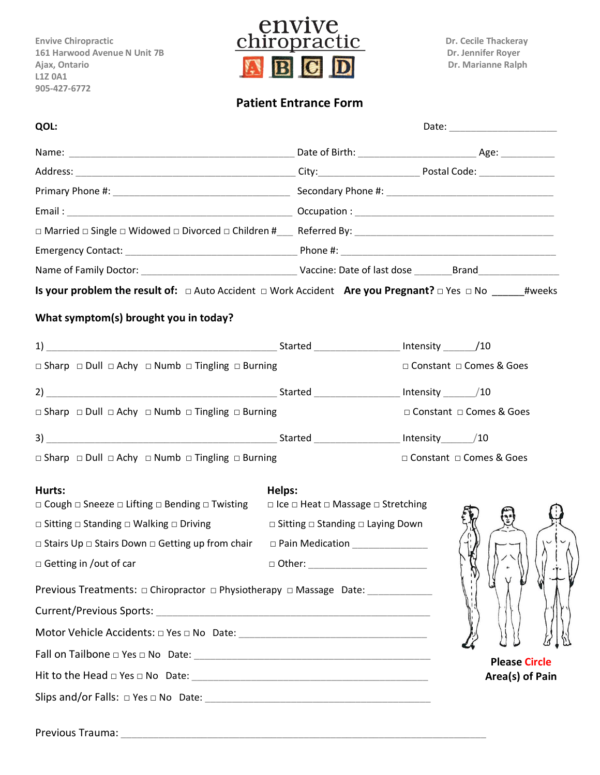**L1Z 0A1 905-427-6772**



## **Patient Entrance Form**

| QOL:                                                                                                                         |                                                         |                             |
|------------------------------------------------------------------------------------------------------------------------------|---------------------------------------------------------|-----------------------------|
|                                                                                                                              |                                                         |                             |
|                                                                                                                              |                                                         |                             |
|                                                                                                                              |                                                         |                             |
|                                                                                                                              |                                                         |                             |
|                                                                                                                              |                                                         |                             |
|                                                                                                                              |                                                         |                             |
|                                                                                                                              |                                                         |                             |
| Is your problem the result of: $\Box$ Auto Accident $\Box$ Work Accident Are you Pregnant? $\Box$ Yes $\Box$ No ______#weeks |                                                         |                             |
| What symptom(s) brought you in today?                                                                                        |                                                         |                             |
| 1) The Started Theorem 2014 (10                                                                                              |                                                         |                             |
| $\Box$ Sharp $\Box$ Dull $\Box$ Achy $\Box$ Numb $\Box$ Tingling $\Box$ Burning                                              |                                                         | □ Constant □ Comes & Goes   |
|                                                                                                                              |                                                         | Intensity $\frac{1}{2}$ /10 |
| $\Box$ Sharp $\Box$ Dull $\Box$ Achy $\Box$ Numb $\Box$ Tingling $\Box$ Burning                                              |                                                         | □ Constant □ Comes & Goes   |
|                                                                                                                              |                                                         |                             |
| $\Box$ Sharp $\Box$ Dull $\Box$ Achy $\Box$ Numb $\Box$ Tingling $\Box$ Burning                                              |                                                         | □ Constant □ Comes & Goes   |
| Hurts:                                                                                                                       | Helps:                                                  |                             |
| $\Box$ Cough $\Box$ Sneeze $\Box$ Lifting $\Box$ Bending $\Box$ Twisting                                                     | $\Box$ Ice $\Box$ Heat $\Box$ Massage $\Box$ Stretching |                             |
| $\Box$ Sitting $\Box$ Standing $\Box$ Walking $\Box$ Driving                                                                 | $\Box$ Sitting $\Box$ Standing $\Box$ Laying Down       |                             |
| □ Stairs Up □ Stairs Down □ Getting up from chair □ Pain Medication ____________                                             |                                                         |                             |
| $\Box$ Getting in /out of car                                                                                                |                                                         |                             |
| Previous Treatments: □ Chiropractor □ Physiotherapy □ Massage Date:                                                          |                                                         |                             |
|                                                                                                                              |                                                         |                             |
|                                                                                                                              |                                                         |                             |
|                                                                                                                              |                                                         | <b>Please Circle</b>        |
|                                                                                                                              |                                                         | Area(s) of Pain             |
|                                                                                                                              |                                                         |                             |
|                                                                                                                              |                                                         |                             |

Previous Trauma: \_\_\_\_\_\_\_\_\_\_\_\_\_\_\_\_\_\_\_\_\_\_\_\_\_\_\_\_\_\_\_\_\_\_\_\_\_\_\_\_\_\_\_\_\_\_\_\_\_\_\_\_\_\_\_\_\_\_\_\_\_\_\_\_\_\_\_\_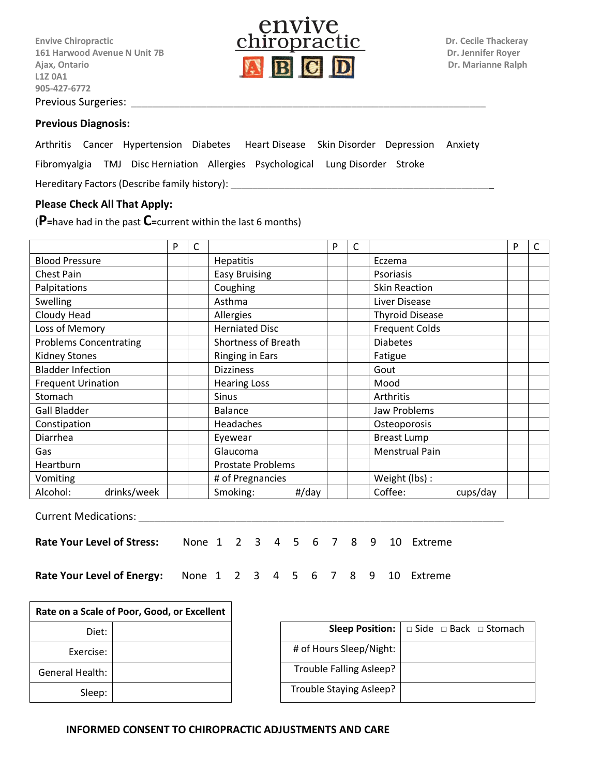**L1Z 0A1 905-427-6772** Previous Surgeries:



## **Previous Diagnosis:**

Arthritis Cancer Hypertension Diabetes Heart Disease Skin Disorder Depression Anxiety

Fibromyalgia TMJ Disc Herniation Allergies Psychological Lung Disorder Stroke

Hereditary Factors (Describe family history):

## **Please Check All That Apply:**

(**P=**have had in the past **C=**current within the last 6 months)

|                               | P | C |                            | P | С |                        | P | C |
|-------------------------------|---|---|----------------------------|---|---|------------------------|---|---|
| <b>Blood Pressure</b>         |   |   | <b>Hepatitis</b>           |   |   | Eczema                 |   |   |
| <b>Chest Pain</b>             |   |   | <b>Easy Bruising</b>       |   |   | Psoriasis              |   |   |
| Palpitations                  |   |   | Coughing                   |   |   | <b>Skin Reaction</b>   |   |   |
| Swelling                      |   |   | Asthma                     |   |   | Liver Disease          |   |   |
| Cloudy Head                   |   |   | Allergies                  |   |   | <b>Thyroid Disease</b> |   |   |
| Loss of Memory                |   |   | <b>Herniated Disc</b>      |   |   | <b>Frequent Colds</b>  |   |   |
| <b>Problems Concentrating</b> |   |   | <b>Shortness of Breath</b> |   |   | <b>Diabetes</b>        |   |   |
| <b>Kidney Stones</b>          |   |   | <b>Ringing in Ears</b>     |   |   | Fatigue                |   |   |
| <b>Bladder Infection</b>      |   |   | <b>Dizziness</b>           |   |   | Gout                   |   |   |
| <b>Frequent Urination</b>     |   |   | <b>Hearing Loss</b>        |   |   | Mood                   |   |   |
| Stomach                       |   |   | <b>Sinus</b>               |   |   | Arthritis              |   |   |
| <b>Gall Bladder</b>           |   |   | <b>Balance</b>             |   |   | Jaw Problems           |   |   |
| Constipation                  |   |   | Headaches                  |   |   | Osteoporosis           |   |   |
| Diarrhea                      |   |   | Eyewear                    |   |   | <b>Breast Lump</b>     |   |   |
| Gas                           |   |   | Glaucoma                   |   |   | <b>Menstrual Pain</b>  |   |   |
| Heartburn                     |   |   | <b>Prostate Problems</b>   |   |   |                        |   |   |
| Vomiting                      |   |   | # of Pregnancies           |   |   | Weight (lbs) :         |   |   |
| Alcohol:<br>drinks/week       |   |   | Smoking:<br>#/day          |   |   | Coffee:<br>cups/day    |   |   |

Current Medications: \_\_\_\_\_\_\_\_\_\_\_\_\_\_\_\_\_\_\_\_\_\_\_\_\_\_\_\_\_\_\_\_\_\_\_\_\_\_\_\_\_\_\_\_\_\_\_\_\_\_\_\_\_\_\_\_\_\_\_\_\_\_\_\_\_\_\_\_

**Rate Your Level of Stress:** None 1 2 3 4 5 6 7 8 9 10 Extreme

**Rate Your Level of Energy:** None 1 2 3 4 5 6 7 8 9 10 Extreme

| . ה |  |  | 6 7 8 9 10 |  |
|-----|--|--|------------|--|
|     |  |  |            |  |

| Rate on a Scale of Poor, Good, or Excellent |  |  |  |
|---------------------------------------------|--|--|--|
| Diet:                                       |  |  |  |
| Exercise:                                   |  |  |  |
| <b>General Health:</b>                      |  |  |  |
| Sleep:                                      |  |  |  |

|                         | <b>Sleep Position:</b> $\Box$ Side $\Box$ Back $\Box$ Stomach |
|-------------------------|---------------------------------------------------------------|
| # of Hours Sleep/Night: |                                                               |
| Trouble Falling Asleep? |                                                               |
| Trouble Staying Asleep? |                                                               |